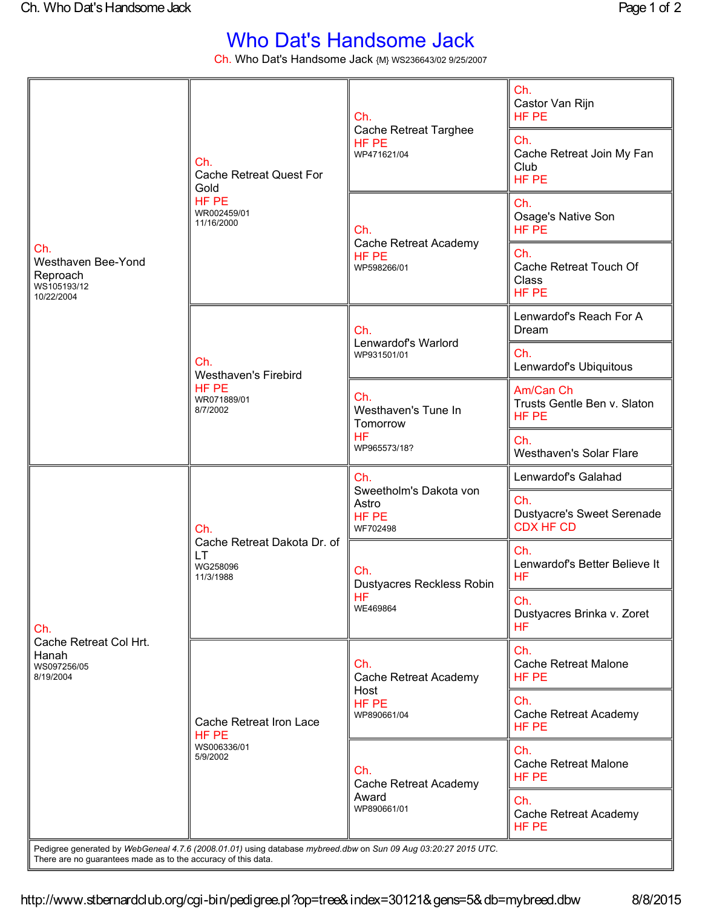## Who Dat's Handsome Jack

Ch. Who Dat's Handsome Jack {M} WS236643/02 9/25/2007

| Ch.<br>Westhaven Bee-Yond<br>Reproach<br>WS105193/12<br>10/22/2004 | Ch.<br><b>Cache Retreat Quest For</b><br>Gold<br>HF PE<br>WR002459/01<br>11/16/2000                            | Ch.<br><b>Cache Retreat Targhee</b><br>HF PE<br>WP471621/04         | Ch.<br>Castor Van Rijn<br>HF PE                              |
|--------------------------------------------------------------------|----------------------------------------------------------------------------------------------------------------|---------------------------------------------------------------------|--------------------------------------------------------------|
|                                                                    |                                                                                                                |                                                                     | Ch.<br>Cache Retreat Join My Fan<br>Club<br>HF PE            |
|                                                                    |                                                                                                                | Ch.<br>Cache Retreat Academy<br>HF PE<br>WP598266/01                | Ch.<br>Osage's Native Son<br>HF PE                           |
|                                                                    |                                                                                                                |                                                                     | Ch.<br>Cache Retreat Touch Of<br>Class<br>HF PE              |
|                                                                    | Ch.<br><b>Westhaven's Firebird</b><br>HF PE<br>WR071889/01<br>8/7/2002                                         | Ch.<br>Lenwardof's Warlord<br>WP931501/01                           | Lenwardof's Reach For A<br>Dream                             |
|                                                                    |                                                                                                                |                                                                     | Ch.<br>Lenwardof's Ubiquitous                                |
|                                                                    |                                                                                                                | Ch.<br>Westhaven's Tune In<br>Tomorrow<br><b>HF</b><br>WP965573/18? | Am/Can Ch<br>Trusts Gentle Ben v. Slaton<br>HF PE            |
|                                                                    |                                                                                                                |                                                                     | Ch.<br><b>Westhaven's Solar Flare</b>                        |
| Ch.<br>Cache Retreat Col Hrt.<br>Hanah<br>WS097256/05<br>8/19/2004 | Ch.<br>Cache Retreat Dakota Dr. of<br><b>LT</b><br>WG258096<br>11/3/1988                                       | Ch.<br>Sweetholm's Dakota von<br>Astro<br>HF PE<br>WF702498         | Lenwardof's Galahad                                          |
|                                                                    |                                                                                                                |                                                                     | Ch.<br><b>Dustyacre's Sweet Serenade</b><br><b>CDX HF CD</b> |
|                                                                    |                                                                                                                | Ch.<br>Dustyacres Reckless Robin<br><b>HF</b><br>WE469864           | Ch.<br>Lenwardof's Better Believe It<br><b>HF</b>            |
|                                                                    |                                                                                                                |                                                                     | Ch.<br>Dustyacres Brinka v. Zoret<br>HF.                     |
|                                                                    | Cache Retreat Iron Lace<br>HF PE<br>WS006336/01<br>5/9/2002                                                    | Ch.<br>Cache Retreat Academy<br>Host<br>HF PE<br>WP890661/04        | Ch.<br><b>Cache Retreat Malone</b><br>HF PE                  |
|                                                                    |                                                                                                                |                                                                     | Ch.<br>Cache Retreat Academy<br>HF PE                        |
|                                                                    |                                                                                                                | Ch.<br>Cache Retreat Academy<br>Award<br>WP890661/01                | Ch.<br><b>Cache Retreat Malone</b><br>HF PE                  |
|                                                                    |                                                                                                                |                                                                     | Ch.<br>Cache Retreat Academy<br>HF PE                        |
| There are no guarantees made as to the accuracy of this data.      | Pedigree generated by WebGeneal 4.7.6 (2008.01.01) using database mybreed.dbw on Sun 09 Aug 03:20:27 2015 UTC. |                                                                     |                                                              |